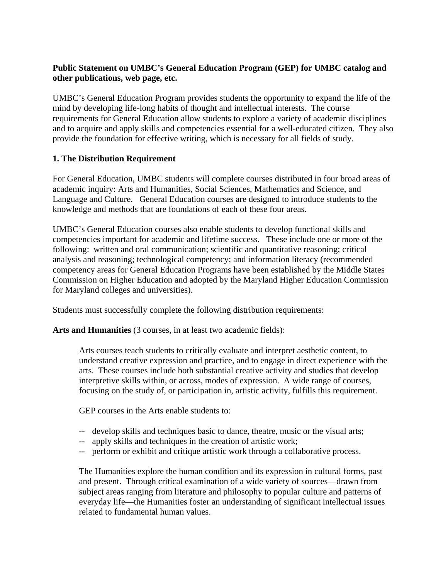# **Public Statement on UMBC's General Education Program (GEP) for UMBC catalog and other publications, web page, etc.**

UMBC's General Education Program provides students the opportunity to expand the life of the mind by developing life-long habits of thought and intellectual interests. The course requirements for General Education allow students to explore a variety of academic disciplines and to acquire and apply skills and competencies essential for a well-educated citizen. They also provide the foundation for effective writing, which is necessary for all fields of study.

# **1. The Distribution Requirement**

For General Education, UMBC students will complete courses distributed in four broad areas of academic inquiry: Arts and Humanities, Social Sciences, Mathematics and Science, and Language and Culture. General Education courses are designed to introduce students to the knowledge and methods that are foundations of each of these four areas.

UMBC's General Education courses also enable students to develop functional skills and competencies important for academic and lifetime success. These include one or more of the following: written and oral communication; scientific and quantitative reasoning; critical analysis and reasoning; technological competency; and information literacy (recommended competency areas for General Education Programs have been established by the Middle States Commission on Higher Education and adopted by the Maryland Higher Education Commission for Maryland colleges and universities).

Students must successfully complete the following distribution requirements:

Arts and Humanities (3 courses, in at least two academic fields):

Arts courses teach students to critically evaluate and interpret aesthetic content, to understand creative expression and practice, and to engage in direct experience with the arts. These courses include both substantial creative activity and studies that develop interpretive skills within, or across, modes of expression. A wide range of courses, focusing on the study of, or participation in, artistic activity, fulfills this requirement.

GEP courses in the Arts enable students to:

- -- develop skills and techniques basic to dance, theatre, music or the visual arts;
- -- apply skills and techniques in the creation of artistic work;
- -- perform or exhibit and critique artistic work through a collaborative process.

The Humanities explore the human condition and its expression in cultural forms, past and present. Through critical examination of a wide variety of sources—drawn from subject areas ranging from literature and philosophy to popular culture and patterns of everyday life—the Humanities foster an understanding of significant intellectual issues related to fundamental human values.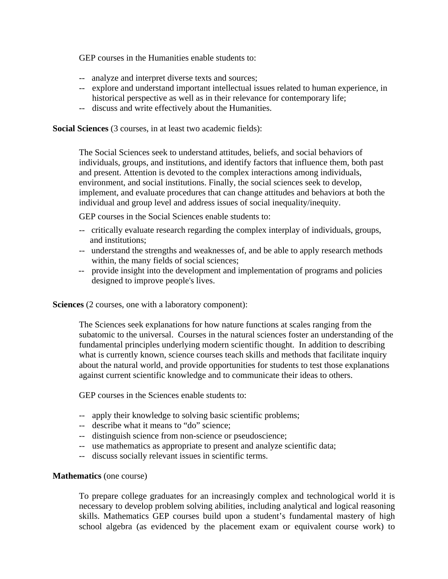GEP courses in the Humanities enable students to:

- -- analyze and interpret diverse texts and sources;
- -- explore and understand important intellectual issues related to human experience, in historical perspective as well as in their relevance for contemporary life;
- -- discuss and write effectively about the Humanities.

**Social Sciences** (3 courses, in at least two academic fields):

The Social Sciences seek to understand attitudes, beliefs, and social behaviors of individuals, groups, and institutions, and identify factors that influence them, both past and present. Attention is devoted to the complex interactions among individuals, environment, and social institutions. Finally, the social sciences seek to develop, implement, and evaluate procedures that can change attitudes and behaviors at both the individual and group level and address issues of social inequality/inequity.

GEP courses in the Social Sciences enable students to:

- -- critically evaluate research regarding the complex interplay of individuals, groups, and institutions;
- -- understand the strengths and weaknesses of, and be able to apply research methods within, the many fields of social sciences;
- -- provide insight into the development and implementation of programs and policies designed to improve people's lives.

 **Sciences** (2 courses, one with a laboratory component):

The Sciences seek explanations for how nature functions at scales ranging from the subatomic to the universal. Courses in the natural sciences foster an understanding of the fundamental principles underlying modern scientific thought. In addition to describing what is currently known, science courses teach skills and methods that facilitate inquiry about the natural world, and provide opportunities for students to test those explanations against current scientific knowledge and to communicate their ideas to others.

GEP courses in the Sciences enable students to:

- -- apply their knowledge to solving basic scientific problems;
- -- describe what it means to "do" science;
- -- distinguish science from non-science or pseudoscience;
- -- use mathematics as appropriate to present and analyze scientific data;
- -- discuss socially relevant issues in scientific terms.

#### **Mathematics** (one course)

To prepare college graduates for an increasingly complex and technological world it is necessary to develop problem solving abilities, including analytical and logical reasoning skills. Mathematics GEP courses build upon a student's fundamental mastery of high school algebra (as evidenced by the placement exam or equivalent course work) to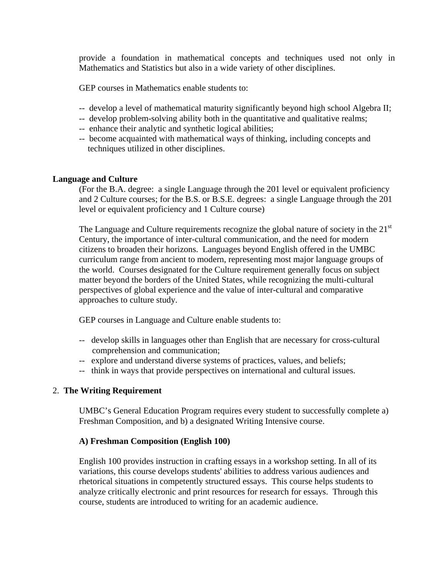provide a foundation in mathematical concepts and techniques used not only in Mathematics and Statistics but also in a wide variety of other disciplines.

GEP courses in Mathematics enable students to:

- -- develop a level of mathematical maturity significantly beyond high school Algebra II;
- -- develop problem-solving ability both in the quantitative and qualitative realms;
- -- enhance their analytic and synthetic logical abilities;
- -- become acquainted with mathematical ways of thinking, including concepts and techniques utilized in other disciplines.

### **Language and Culture**

(For the B.A. degree: a single Language through the 201 level or equivalent proficiency and 2 Culture courses; for the B.S. or B.S.E. degrees: a single Language through the 201 level or equivalent proficiency and 1 Culture course)

The Language and Culture requirements recognize the global nature of society in the  $21<sup>st</sup>$ Century, the importance of inter-cultural communication, and the need for modern citizens to broaden their horizons. Languages beyond English offered in the UMBC curriculum range from ancient to modern, representing most major language groups of the world. Courses designated for the Culture requirement generally focus on subject matter beyond the borders of the United States, while recognizing the multi-cultural perspectives of global experience and the value of inter-cultural and comparative approaches to culture study.

GEP courses in Language and Culture enable students to:

- -- develop skills in languages other than English that are necessary for cross-cultural comprehension and communication;
- -- explore and understand diverse systems of practices, values, and beliefs;
- -- think in ways that provide perspectives on international and cultural issues.

### 2. **The Writing Requirement**

UMBC's General Education Program requires every student to successfully complete a) Freshman Composition, and b) a designated Writing Intensive course.

### **A) Freshman Composition (English 100)**

English 100 provides instruction in crafting essays in a workshop setting. In all of its variations, this course develops students' abilities to address various audiences and rhetorical situations in competently structured essays. This course helps students to analyze critically electronic and print resources for research for essays. Through this course, students are introduced to writing for an academic audience.